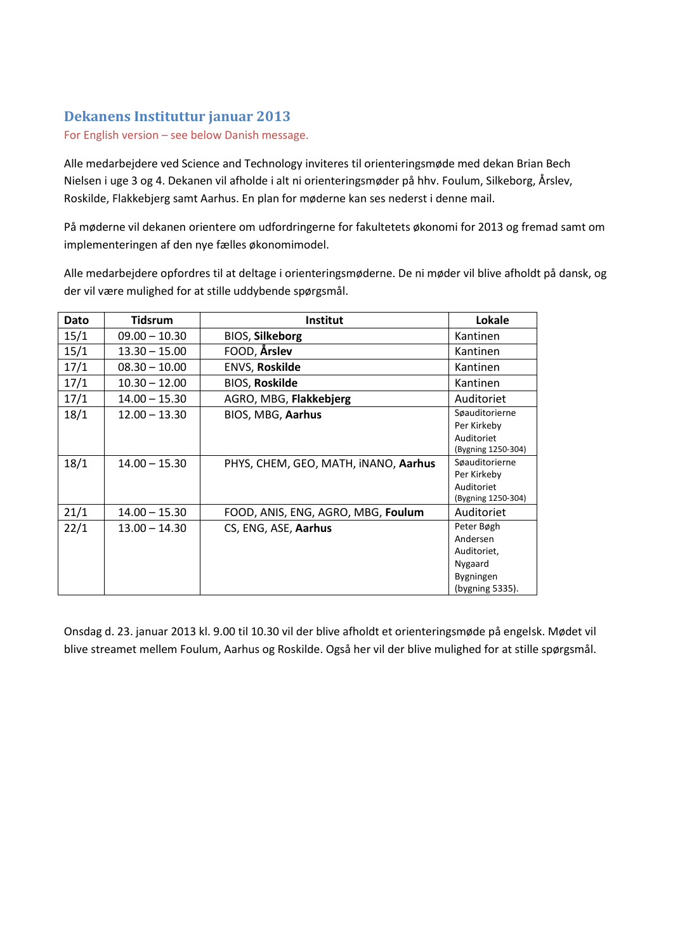## **Dekanens Instituttur januar 2013**

For English version – see below Danish message.

Alle medarbejdere ved Science and Technology inviteres til orienteringsmøde med dekan Brian Bech Nielsen i uge 3 og 4. Dekanen vil afholde i alt ni orienteringsmøder på hhv. Foulum, Silkeborg, Årslev, Roskilde, Flakkebjerg samt Aarhus. En plan for møderne kan ses nederst i denne mail.

På møderne vil dekanen orientere om udfordringerne for fakultetets økonomi for 2013 og fremad samt om implementeringen af den nye fælles økonomimodel.

Alle medarbejdere opfordres til at deltage i orienteringsmøderne. De ni møder vil blive afholdt på dansk, og der vil være mulighed for at stille uddybende spørgsmål.

| Dato | <b>Tidsrum</b>  | <b>Institut</b>                      | Lokale                                                                           |
|------|-----------------|--------------------------------------|----------------------------------------------------------------------------------|
| 15/1 | $09.00 - 10.30$ | <b>BIOS, Silkeborg</b>               | Kantinen                                                                         |
| 15/1 | $13.30 - 15.00$ | FOOD, Årslev                         | Kantinen                                                                         |
| 17/1 | $08.30 - 10.00$ | <b>ENVS, Roskilde</b>                | Kantinen                                                                         |
| 17/1 | $10.30 - 12.00$ | <b>BIOS, Roskilde</b>                | Kantinen                                                                         |
| 17/1 | $14.00 - 15.30$ | AGRO, MBG, Flakkebjerg               | Auditoriet                                                                       |
| 18/1 | $12.00 - 13.30$ | BIOS, MBG, Aarhus                    | Søauditorierne<br>Per Kirkeby<br>Auditoriet<br>(Bygning 1250-304)                |
| 18/1 | $14.00 - 15.30$ | PHYS, CHEM, GEO, MATH, INANO, Aarhus | Søauditorierne<br>Per Kirkeby<br>Auditoriet<br>(Bygning 1250-304)                |
| 21/1 | $14.00 - 15.30$ | FOOD, ANIS, ENG, AGRO, MBG, Foulum   | Auditoriet                                                                       |
| 22/1 | $13.00 - 14.30$ | CS, ENG, ASE, Aarhus                 | Peter Bøgh<br>Andersen<br>Auditoriet,<br>Nygaard<br>Bygningen<br>(bygning 5335). |

Onsdag d. 23. januar 2013 kl. 9.00 til 10.30 vil der blive afholdt et orienteringsmøde på engelsk. Mødet vil blive streamet mellem Foulum, Aarhus og Roskilde. Også her vil der blive mulighed for at stille spørgsmål.